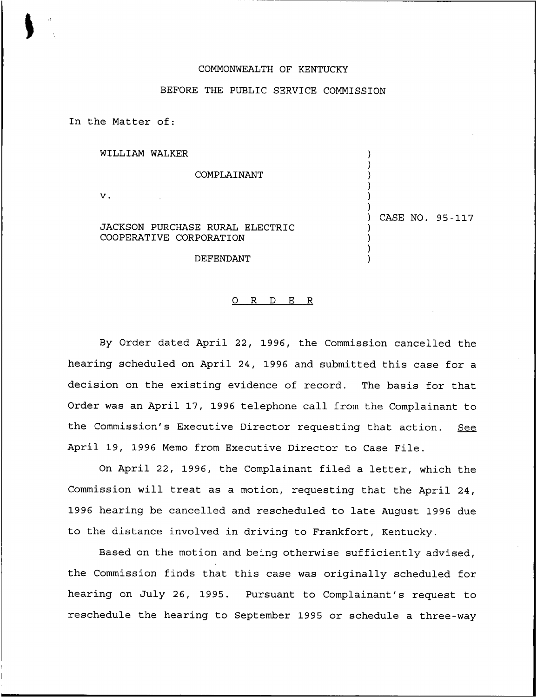## COMMONWEALTH OF KENTUCKY

## BEFORE THE PUBLIC SERVICE COMMISSION

In the Matter of:

| WILLIAM WALKER                                             |                 |
|------------------------------------------------------------|-----------------|
| COMPLAINANT                                                |                 |
| ν.                                                         |                 |
| JACKSON PURCHASE RURAL ELECTRIC<br>COOPERATIVE CORPORATION | CASE NO. 95-117 |
| DEFENDANT                                                  |                 |

## 0 R <sup>D</sup> E <sup>R</sup>

By Order dated April 22, 1996, the Commission cancelled the hearing scheduled on April 24, 1996 and submitted this case for a decision on the existing evidence of record. The basis for that Order was an April 17, 1996 telephone call from the Complainant to the Commission's Executive Director requesting that action. See April 19, 1996 Memo from Executive Director to Case File.

On April 22, 1996, the Complainant filed a letter, which the Commission will treat as a motion, requesting that the April 24, 1996 hearing be cancelled and rescheduled to late August 1996 due to the distance involved in driving to Frankfort, Kentucky.

Based on the motion and being otherwise sufficiently advised, the Commission finds that this case was originally scheduled for hearing on July 26, 1995. Pursuant to Complainant's request to reschedule the hearing to September 1995 or schedule a three-way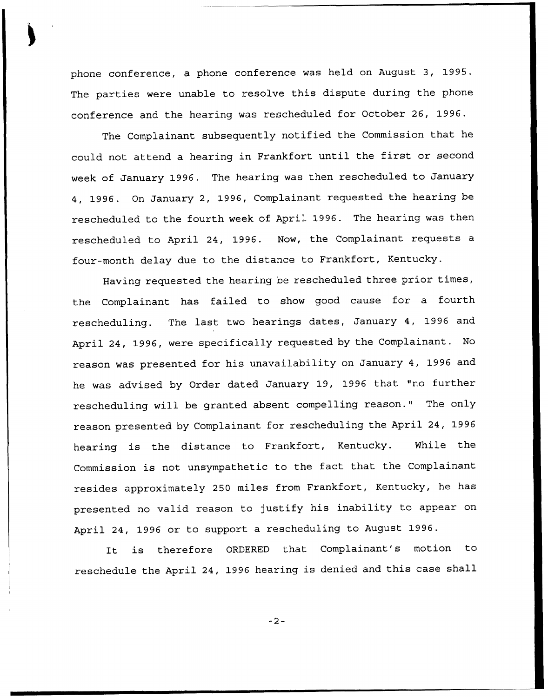phone conference, a phone conference was held on August 3, 1995. The parties were unable to resolve this dispute during the phone conference and the hearing was rescheduled for October 26, 1996.

The Complainant subsequently notified the Commission that he could not attend <sup>a</sup> hearing in Frankfort until the first or second week of January 1996. The hearing was then rescheduled to January 4, 1996. On January 2, 1996, Complainant requested. the hearing be rescheduled to the fourth week of April 1996. The hearing was then rescheduled to April 24, 1996. Now, the Complainant requests a four-month delay due to the distance to Frankfort, Kentucky.

Having requested the hearing be rescheduled three prior times, the Complainant has failed to show good cause for a fourth rescheduling. The last two hearings dates, January 4, 1996 and April 24, 1996, were specifically requested by the Complainant. No reason was presented for his unavailability on January 4, 1996 and he was advised by Order dated January 19, 1996 that "no further rescheduling will be granted absent compelling reason." The only reason presented by Complainant for rescheduling the April 24, 1996 hearing is the distance to Frankfort, Kentucky. While the Commission is not unsympathetic to the fact that the Complainant resides approximately 250 miles from Frankfort, Kentucky, he has presented no valid reason to justify his inability to appear on April 24, 1996 or to support a rescheduling to August 1996.

It is therefore ORDERED that Complainant's motion to reschedule the April 24, 1996 hearing is denied and this case shall

 $-2-$